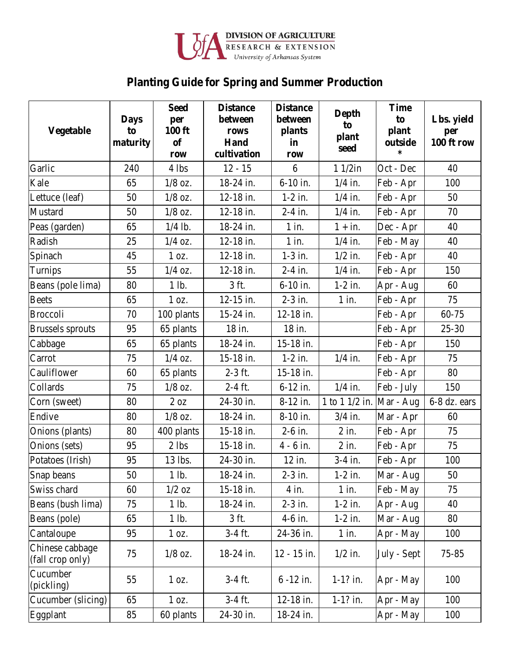

## **Planting Guide for Spring and Summer Production**

| <b>Vegetable</b>                    | <b>Days</b><br>to<br>maturity | <b>Seed</b><br>per<br><b>100 ft</b><br><b>of</b><br>row | <b>Distance</b><br>between<br>rows<br>Hand<br>cultivation | <b>Distance</b><br>between<br>plants<br>in<br>row | <b>Depth</b><br>to<br>plant<br>seed | <b>Time</b><br>to<br>plant<br>outside<br>∗ | Lbs. yield<br>per<br>100 ft row |
|-------------------------------------|-------------------------------|---------------------------------------------------------|-----------------------------------------------------------|---------------------------------------------------|-------------------------------------|--------------------------------------------|---------------------------------|
| Garlic                              | 240                           | $4$ lbs                                                 | $12 - 15$                                                 | 6                                                 | $11/2$ in                           | Oct - Dec                                  | 40                              |
| Kale                                | 65                            | $1/8$ oz.                                               | 18-24 in.                                                 | 6-10 in.                                          | $1/4$ in.                           | Feb - Apr                                  | 100                             |
| Lettuce (leaf)                      | 50                            | $1/8$ oz.                                               | 12-18 in.                                                 | $1-2$ in.                                         | $1/4$ in.                           | Feb - Apr                                  | 50                              |
| Mustard                             | 50                            | $1/8$ oz.                                               | 12-18 in.                                                 | $2-4$ in.                                         | $1/4$ in.                           | Feb - Apr                                  | 70                              |
| Peas (garden)                       | 65                            | $1/4$ lb.                                               | 18-24 in.                                                 | $1$ in.                                           | $1 + in.$                           | Dec - Apr                                  | 40                              |
| Radish                              | 25                            | $1/4$ oz.                                               | 12-18 in.                                                 | $1$ in.                                           | $1/4$ in.                           | Feb - May                                  | 40                              |
| Spinach                             | 45                            | 1 oz.                                                   | 12-18 in.                                                 | $1-3$ in.                                         | $1/2$ in.                           | Feb - Apr                                  | 40                              |
| Turnips                             | 55                            | $1/4$ oz.                                               | 12-18 in.                                                 | $2-4$ in.                                         | $1/4$ in.                           | Feb - Apr                                  | 150                             |
| Beans (pole lima)                   | 80                            | 1 lb.                                                   | 3 ft.                                                     | $6-10$ in.                                        | $1-2$ in.                           | Apr - Aug                                  | 60                              |
| <b>Beets</b>                        | 65                            | 1 oz.                                                   | $12-15$ in.                                               | $2-3$ in.                                         | $1$ in.                             | Feb - Apr                                  | 75                              |
| <b>Broccoli</b>                     | 70                            | 100 plants                                              | 15-24 in.                                                 | 12-18 in.                                         |                                     | Feb - Apr                                  | 60-75                           |
| <b>Brussels</b> sprouts             | 95                            | 65 plants                                               | 18 in.                                                    | 18 in.                                            |                                     | Feb - Apr                                  | $25 - 30$                       |
| Cabbage                             | 65                            | 65 plants                                               | 18-24 in.                                                 | 15-18 in.                                         |                                     | Feb - Apr                                  | 150                             |
| Carrot                              | 75                            | $1/4$ oz.                                               | 15-18 in.                                                 | $1-2$ in.                                         | $1/4$ in.                           | Feb - Apr                                  | 75                              |
| Cauliflower                         | 60                            | 65 plants                                               | $2-3$ ft.                                                 | 15-18 in.                                         |                                     | Feb - Apr                                  | 80                              |
| Collards                            | 75                            | $1/8$ oz.                                               | $2-4$ ft.                                                 | 6-12 in.                                          | $1/4$ in.                           | Feb - July                                 | 150                             |
| Corn (sweet)                        | 80                            | 2 oz                                                    | 24-30 in.                                                 | 8-12 in.                                          | 1 to 1 $1/2$ in. Mar - Aug          |                                            | 6-8 dz. ears                    |
| Endive                              | 80                            | $1/8$ oz.                                               | 18-24 in.                                                 | 8-10 in.                                          | $3/4$ in.                           | Mar - Apr                                  | 60                              |
| Onions (plants)                     | 80                            | 400 plants                                              | 15-18 in.                                                 | $2-6$ in.                                         | $2$ in.                             | Feb - Apr                                  | 75                              |
| Onions (sets)                       | 95                            | $2$ lbs                                                 | 15-18 in.                                                 | $4 - 6$ in.                                       | $2$ in.                             | Feb - Apr                                  | 75                              |
| Potatoes (Irish)                    | 95                            | 13 lbs.                                                 | 24-30 in.                                                 | 12 in.                                            | $3-4$ in.                           | Feb - Apr                                  | 100                             |
| Snap beans                          | 50                            | 1 lb.                                                   | 18-24 in.                                                 | $2-3$ in.                                         | $1-2$ in.                           | Mar - Aug                                  | 50                              |
| Swiss chard                         | 60                            | $1/2$ oz                                                | 15-18 in.                                                 | $4$ in.                                           | $1$ in.                             | Feb - May                                  | 75                              |
| Beans (bush lima)                   | 75                            | 1 lb.                                                   | 18-24 in.                                                 | $2-3$ in.                                         | $1-2$ in.                           | Apr - Aug                                  | 40                              |
| Beans (pole)                        | 65                            | 1 lb.                                                   | 3 ft.                                                     | 4-6 in.                                           | $1-2$ in.                           | Mar - Aug                                  | 80                              |
| Cantaloupe                          | 95                            | 1 oz.                                                   | 3-4 ft.                                                   | 24-36 in.                                         | $1$ in.                             | Apr - May                                  | 100                             |
| Chinese cabbage<br>(fall crop only) | 75                            | $1/8$ oz.                                               | 18-24 in.                                                 | 12 - 15 in.                                       | $1/2$ in.                           | July - Sept                                | $75 - 85$                       |
| Cucumber<br>(pickling)              | 55                            | 1 oz.                                                   | $3-4$ ft.                                                 | $6 - 12$ in.                                      | $1-1?$ in.                          | Apr - May                                  | 100                             |
| Cucumber (slicing)                  | 65                            | 1 oz.                                                   | $3-4$ ft.                                                 | 12-18 in.                                         | $1-1?$ in.                          | Apr - May                                  | 100                             |
| Eggplant                            | 85                            | 60 plants                                               | 24-30 in.                                                 | 18-24 in.                                         |                                     | Apr - May                                  | 100                             |